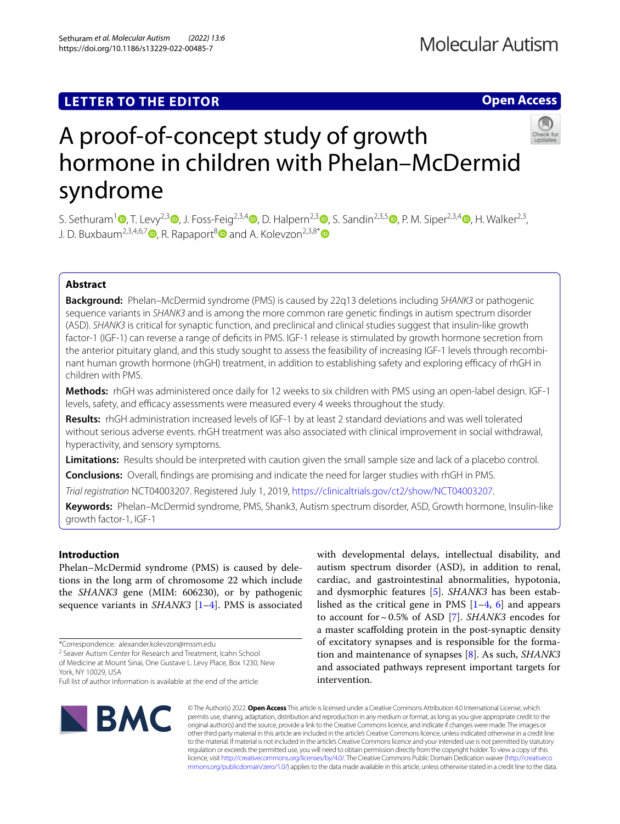Sethuram *et al. Molecular Autism (2022) 13:6*  https://doi.org/10.1186/s13229-022-00485-7

# **Open Access**



# A proof-of-concept study of growth hormone in children with Phelan–McDermid syndrome

S. Sethuram<sup>[1](http://orcid.org/0000-0002-7101-5045)</sup> **.**[,](http://orcid.org/0000-0001-6994-4884) T. Levy<sup>2,[3](http://orcid.org/0000-0001-6745-1197)</sup> **.**, J. Foss-Feig<sup>2,3,[4](http://orcid.org/0000-0002-9659-8232)</sup> , D. Halpern<sup>2,3</sup> , S. Sandin<sup>2,3,5</sup> , P. M. Siper<sup>2,3,4</sup> , H. Walker<sup>2,3</sup>, J. D. Buxbaum<sup>2,3,4,6,7</sup> $\bullet$ [,](http://orcid.org/0000-0001-8898-8313) R. Rapaport<sup>[8](http://orcid.org/0000-0002-0915-3551)</sup> $\bullet$  and A. Kolevzon<sup>2,3,8[\\*](http://orcid.org/0000-0001-8129-2671)</sup> $\bullet$ 

# **Abstract**

**Background:** Phelan–McDermid syndrome (PMS) is caused by 22q13 deletions including *SHANK3* or pathogenic sequence variants in *SHANK3* and is among the more common rare genetic fndings in autism spectrum disorder (ASD). *SHANK3* is critical for synaptic function, and preclinical and clinical studies suggest that insulin-like growth factor-1 (IGF-1) can reverse a range of defcits in PMS. IGF-1 release is stimulated by growth hormone secretion from the anterior pituitary gland, and this study sought to assess the feasibility of increasing IGF-1 levels through recombinant human growth hormone (rhGH) treatment, in addition to establishing safety and exploring efficacy of rhGH in children with PMS.

**Methods:** rhGH was administered once daily for 12 weeks to six children with PMS using an open-label design. IGF-1 levels, safety, and efficacy assessments were measured every 4 weeks throughout the study.

**Results:** rhGH administration increased levels of IGF-1 by at least 2 standard deviations and was well tolerated without serious adverse events. rhGH treatment was also associated with clinical improvement in social withdrawal, hyperactivity, and sensory symptoms.

**Limitations:** Results should be interpreted with caution given the small sample size and lack of a placebo control.

**Conclusions:** Overall, fndings are promising and indicate the need for larger studies with rhGH in PMS.

*Trial registration* NCT04003207. Registered July 1, 2019, [https://clinicaltrials.gov/ct2/show/NCT04003207.](https://clinicaltrials.gov/ct2/show/NCT04003207)

**Keywords:** Phelan–McDermid syndrome, PMS, Shank3, Autism spectrum disorder, ASD, Growth hormone, Insulin-like growth factor-1, IGF-1

## **Introduction**

Phelan–McDermid syndrome (PMS) is caused by deletions in the long arm of chromosome 22 which include the *SHANK3* gene (MIM: 606230), or by pathogenic sequence variants in *SHANK3* [\[1](#page-4-0)[–4](#page-4-1)]. PMS is associated

<sup>2</sup> Seaver Autism Center for Research and Treatment, Icahn School of Medicine at Mount Sinai, One Gustave L. Levy Place, Box 1230, New

York, NY 10029, USA

Full list of author information is available at the end of the article



with developmental delays, intellectual disability, and autism spectrum disorder (ASD), in addition to renal, cardiac, and gastrointestinal abnormalities, hypotonia, and dysmorphic features [\[5\]](#page-4-2). *SHANK3* has been established as the critical gene in PMS  $[1-4, 6]$  $[1-4, 6]$  $[1-4, 6]$  $[1-4, 6]$  $[1-4, 6]$  and appears to account for~0.5% of ASD [\[7](#page-4-4)]. *SHANK3* encodes for a master scafolding protein in the post-synaptic density of excitatory synapses and is responsible for the formation and maintenance of synapses [[8\]](#page-4-5). As such, *SHANK3* and associated pathways represent important targets for intervention.

© The Author(s) 2022. **Open Access** This article is licensed under a Creative Commons Attribution 4.0 International License, which permits use, sharing, adaptation, distribution and reproduction in any medium or format, as long as you give appropriate credit to the original author(s) and the source, provide a link to the Creative Commons licence, and indicate if changes were made. The images or other third party material in this article are included in the article's Creative Commons licence, unless indicated otherwise in a credit line to the material. If material is not included in the article's Creative Commons licence and your intended use is not permitted by statutory regulation or exceeds the permitted use, you will need to obtain permission directly from the copyright holder. To view a copy of this licence, visit [http://creativecommons.org/licenses/by/4.0/.](http://creativecommons.org/licenses/by/4.0/) The Creative Commons Public Domain Dedication waiver ([http://creativeco](http://creativecommons.org/publicdomain/zero/1.0/) [mmons.org/publicdomain/zero/1.0/](http://creativecommons.org/publicdomain/zero/1.0/)) applies to the data made available in this article, unless otherwise stated in a credit line to the data.

<sup>\*</sup>Correspondence: alexander.kolevzon@mssm.edu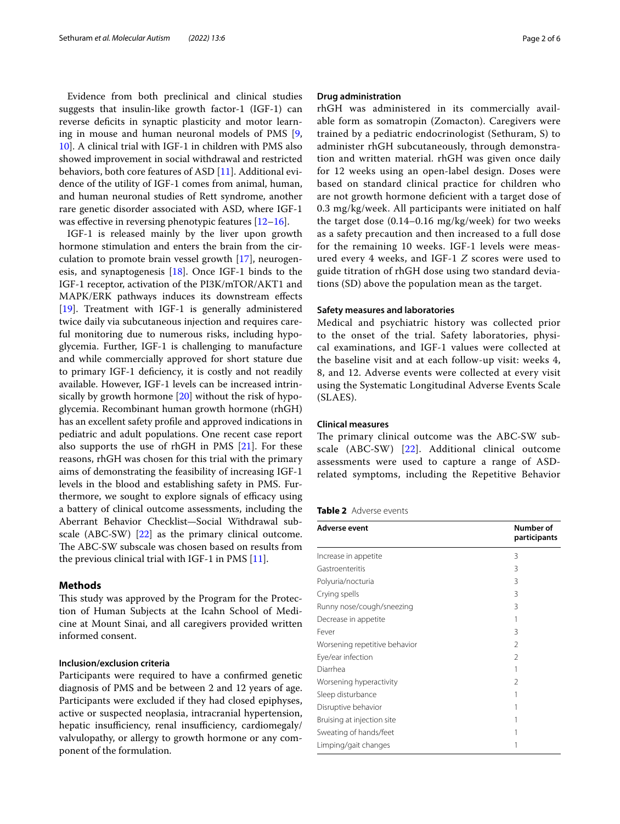Evidence from both preclinical and clinical studies suggests that insulin-like growth factor-1 (IGF-1) can reverse deficits in synaptic plasticity and motor learning in mouse and human neuronal models of PMS [\[9](#page-5-0), [10\]](#page-5-1). A clinical trial with IGF-1 in children with PMS also showed improvement in social withdrawal and restricted behaviors, both core features of ASD [[11\]](#page-5-2). Additional evidence of the utility of IGF-1 comes from animal, human, and human neuronal studies of Rett syndrome, another rare genetic disorder associated with ASD, where IGF-1 was effective in reversing phenotypic features  $[12-16]$  $[12-16]$  $[12-16]$ .

IGF-1 is released mainly by the liver upon growth hormone stimulation and enters the brain from the circulation to promote brain vessel growth [[17\]](#page-5-5), neurogenesis, and synaptogenesis [[18](#page-5-6)]. Once IGF-1 binds to the IGF-1 receptor, activation of the PI3K/mTOR/AKT1 and MAPK/ERK pathways induces its downstream efects [[19\]](#page-5-7). Treatment with IGF-1 is generally administered twice daily via subcutaneous injection and requires careful monitoring due to numerous risks, including hypoglycemia. Further, IGF-1 is challenging to manufacture and while commercially approved for short stature due to primary IGF-1 defciency, it is costly and not readily available. However, IGF-1 levels can be increased intrinsically by growth hormone [\[20\]](#page-5-8) without the risk of hypoglycemia. Recombinant human growth hormone (rhGH) has an excellent safety profle and approved indications in pediatric and adult populations. One recent case report also supports the use of rhGH in PMS [[21\]](#page-5-9). For these reasons, rhGH was chosen for this trial with the primary aims of demonstrating the feasibility of increasing IGF-1 levels in the blood and establishing safety in PMS. Furthermore, we sought to explore signals of efficacy using a battery of clinical outcome assessments, including the Aberrant Behavior Checklist—Social Withdrawal subscale (ABC-SW) [[22](#page-5-10)] as the primary clinical outcome. The ABC-SW subscale was chosen based on results from the previous clinical trial with IGF-1 in PMS  $[11]$  $[11]$ .

## **Methods**

This study was approved by the Program for the Protection of Human Subjects at the Icahn School of Medicine at Mount Sinai, and all caregivers provided written informed consent.

## **Inclusion/exclusion criteria**

Participants were required to have a confrmed genetic diagnosis of PMS and be between 2 and 12 years of age. Participants were excluded if they had closed epiphyses, active or suspected neoplasia, intracranial hypertension, hepatic insufficiency, renal insufficiency, cardiomegaly/ valvulopathy, or allergy to growth hormone or any component of the formulation.

#### **Drug administration**

rhGH was administered in its commercially available form as somatropin (Zomacton). Caregivers were trained by a pediatric endocrinologist (Sethuram, S) to administer rhGH subcutaneously, through demonstration and written material. rhGH was given once daily for 12 weeks using an open-label design. Doses were based on standard clinical practice for children who are not growth hormone defcient with a target dose of 0.3 mg/kg/week. All participants were initiated on half the target dose (0.14–0.16 mg/kg/week) for two weeks as a safety precaution and then increased to a full dose for the remaining 10 weeks. IGF-1 levels were measured every 4 weeks, and IGF-1 *Z* scores were used to guide titration of rhGH dose using two standard deviations (SD) above the population mean as the target.

## **Safety measures and laboratories**

Medical and psychiatric history was collected prior to the onset of the trial. Safety laboratories, physical examinations, and IGF-1 values were collected at the baseline visit and at each follow-up visit: weeks 4, 8, and 12. Adverse events were collected at every visit using the Systematic Longitudinal Adverse Events Scale (SLAES).

## **Clinical measures**

The primary clinical outcome was the ABC-SW subscale (ABC-SW) [[22](#page-5-10)]. Additional clinical outcome assessments were used to capture a range of ASDrelated symptoms, including the Repetitive Behavior

<span id="page-1-0"></span>

| Table 2 Adverse events |  |
|------------------------|--|
|                        |  |

| Adverse event                 | Number of<br>participants |
|-------------------------------|---------------------------|
| Increase in appetite          | 3                         |
| Gastroenteritis               | 3                         |
| Polyuria/nocturia             | 3                         |
| Crying spells                 | 3                         |
| Runny nose/cough/sneezing     | 3                         |
| Decrease in appetite          | 1                         |
| Fever                         | 3                         |
| Worsening repetitive behavior | 2                         |
| Eye/ear infection             | 2                         |
| Diarrhea                      | 1                         |
| Worsening hyperactivity       | 2                         |
| Sleep disturbance             | 1                         |
| Disruptive behavior           | 1                         |
| Bruising at injection site    |                           |
| Sweating of hands/feet        |                           |
| Limping/gait changes          |                           |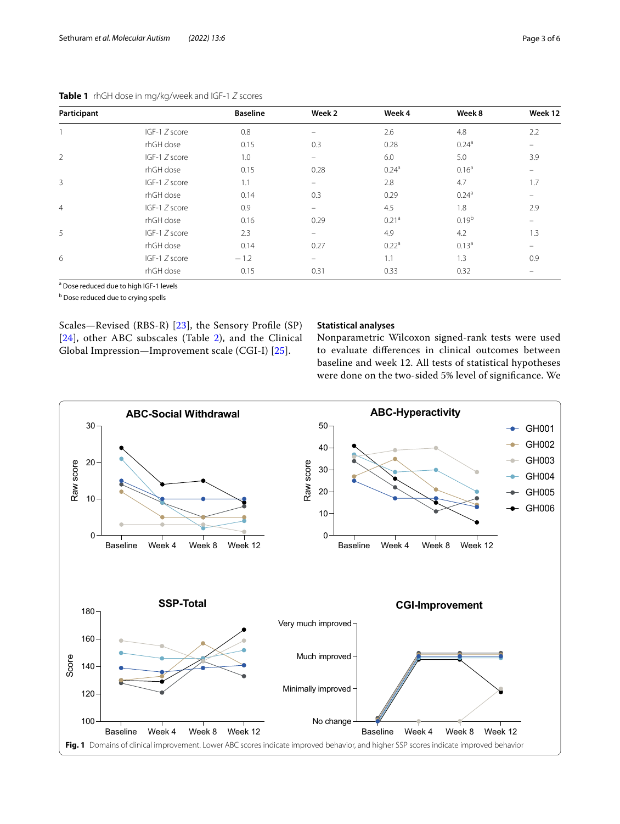| Participant    |                 | <b>Baseline</b> | Week 2   | Week 4            | Week 8            | Week 12                  |
|----------------|-----------------|-----------------|----------|-------------------|-------------------|--------------------------|
|                | IGF-1 Z score   | 0.8             | -        | 2.6               | 4.8               | 2.2                      |
|                | rhGH dose       | 0.15            | 0.3      | 0.28              | 0.24 <sup>a</sup> |                          |
| 2              | IGF-1 Z score   | 1.0             | -        | 6.0               | 5.0               | 3.9                      |
|                | rhGH dose       | 0.15            | 0.28     | 0.24 <sup>a</sup> | 0.16 <sup>a</sup> | -                        |
| 3              | IGF-1 Z score   | 1.1             | -        | 2.8               | 4.7               | 1.7                      |
|                | rhGH dose       | 0.14            | 0.3      | 0.29              | 0.24 <sup>a</sup> | $\overline{\phantom{0}}$ |
| $\overline{4}$ | IGF-1 Z score   | 0.9             | $\equiv$ | 4.5               | 1.8               | 2.9                      |
|                | rhGH dose       | 0.16            | 0.29     | 0.21 <sup>a</sup> | 0.19 <sup>b</sup> | $\equiv$                 |
| 5              | IGF-1 Z score   | 2.3             | -        | 4.9               | 4.2               | 1.3                      |
|                | rhGH dose       | 0.14            | 0.27     | 0.22 <sup>a</sup> | 0.13 <sup>a</sup> | $\equiv$                 |
| 6              | $IGF-1 Z score$ | $-1.2$          | -        | 1.1               | 1.3               | 0.9                      |
|                | rhGH dose       | 0.15            | 0.31     | 0.33              | 0.32              |                          |

<span id="page-2-0"></span>**Table 1** rhGH dose in mg/kg/week and IGF-1 *Z* scores

<sup>a</sup> Dose reduced due to high IGF-1 levels

**b** Dose reduced due to crying spells

Scales—Revised (RBS-R) [\[23](#page-5-11)], the Sensory Profle (SP) [[24](#page-5-12)], other ABC subscales (Table [2\)](#page-1-0), and the Clinical Global Impression—Improvement scale (CGI-I) [[25\]](#page-5-13).

## **Statistical analyses**

Nonparametric Wilcoxon signed-rank tests were used to evaluate diferences in clinical outcomes between baseline and week 12. All tests of statistical hypotheses were done on the two-sided 5% level of signifcance. We

<span id="page-2-1"></span>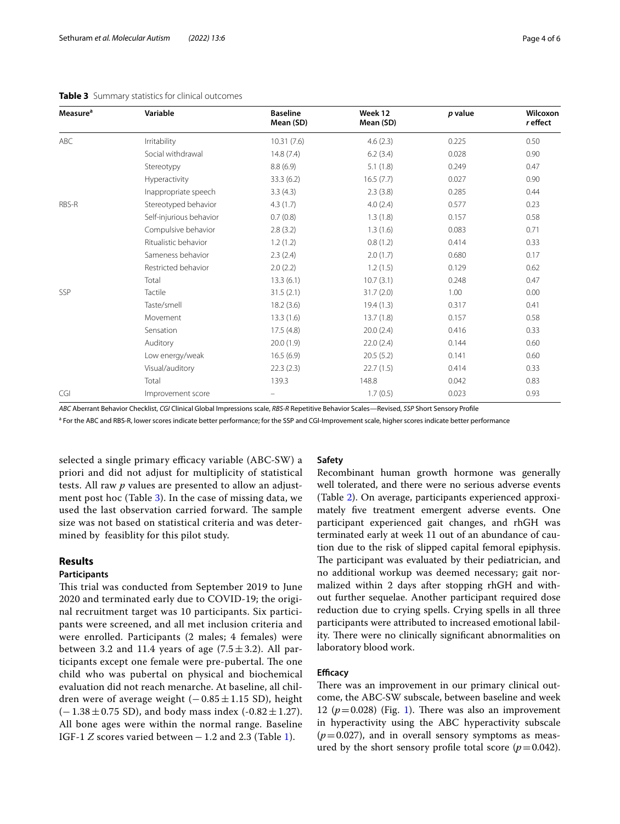<span id="page-3-0"></span>

| Measure <sup>a</sup> | Variable                | <b>Baseline</b><br>Mean (SD) | Week 12<br>Mean (SD) | p value | Wilcoxon<br>r effect |
|----------------------|-------------------------|------------------------------|----------------------|---------|----------------------|
| ABC                  | <b>Irritability</b>     | 10.31(7.6)                   | 4.6(2.3)             | 0.225   | 0.50                 |
|                      | Social withdrawal       | 14.8(7.4)                    | 6.2(3.4)             | 0.028   | 0.90                 |
|                      | Stereotypy              | 8.8(6.9)                     | 5.1(1.8)             | 0.249   | 0.47                 |
|                      | Hyperactivity           | 33.3(6.2)                    | 16.5(7.7)            | 0.027   | 0.90                 |
|                      | Inappropriate speech    | 3.3(4.3)                     | 2.3(3.8)             | 0.285   | 0.44                 |
| RBS-R                | Stereotyped behavior    | 4.3(1.7)                     | 4.0(2.4)             | 0.577   | 0.23                 |
|                      | Self-injurious behavior | 0.7(0.8)                     | 1.3(1.8)             | 0.157   | 0.58                 |
|                      | Compulsive behavior     | 2.8(3.2)                     | 1.3(1.6)             | 0.083   | 0.71                 |
|                      | Ritualistic behavior    | 1.2(1.2)                     | 0.8(1.2)             | 0.414   | 0.33                 |
|                      | Sameness behavior       | 2.3(2.4)                     | 2.0(1.7)             | 0.680   | 0.17                 |
|                      | Restricted behavior     | 2.0(2.2)                     | 1.2(1.5)             | 0.129   | 0.62                 |
|                      | Total                   | 13.3(6.1)                    | 10.7(3.1)            | 0.248   | 0.47                 |
| SSP                  | Tactile                 | 31.5(2.1)                    | 31.7(2.0)            | 1.00    | 0.00                 |
|                      | Taste/smell             | 18.2(3.6)                    | 19.4(1.3)            | 0.317   | 0.41                 |
|                      | Movement                | 13.3(1.6)                    | 13.7(1.8)            | 0.157   | 0.58                 |
|                      | Sensation               | 17.5(4.8)                    | 20.0(2.4)            | 0.416   | 0.33                 |
|                      | Auditory                | 20.0(1.9)                    | 22.0(2.4)            | 0.144   | 0.60                 |
|                      | Low energy/weak         | 16.5(6.9)                    | 20.5(5.2)            | 0.141   | 0.60                 |
|                      | Visual/auditory         | 22.3(2.3)                    | 22.7(1.5)            | 0.414   | 0.33                 |
|                      | Total                   | 139.3                        | 148.8                | 0.042   | 0.83                 |
| CGI                  | Improvement score       |                              | 1.7(0.5)             | 0.023   | 0.93                 |

*ABC* Aberrant Behavior Checklist, *CGI* Clinical Global Impressions scale, *RBS-R* Repetitive Behavior Scales—Revised, *SSP* Short Sensory Profle

<sup>a</sup> For the ABC and RBS-R, lower scores indicate better performance; for the SSP and CGI-Improvement scale, higher scores indicate better performance

selected a single primary efficacy variable (ABC-SW) a priori and did not adjust for multiplicity of statistical tests. All raw *p* values are presented to allow an adjustment post hoc (Table [3\)](#page-3-0). In the case of missing data, we used the last observation carried forward. The sample size was not based on statistical criteria and was determined by feasiblity for this pilot study.

## **Results**

## **Participants**

This trial was conducted from September 2019 to June 2020 and terminated early due to COVID-19; the original recruitment target was 10 participants. Six participants were screened, and all met inclusion criteria and were enrolled. Participants (2 males; 4 females) were between 3.2 and 11.4 years of age  $(7.5 \pm 3.2)$ . All participants except one female were pre-pubertal. The one child who was pubertal on physical and biochemical evaluation did not reach menarche. At baseline, all children were of average weight  $(-0.85 \pm 1.15 \text{ SD})$ , height  $(-1.38 \pm 0.75$  SD), and body mass index  $(-0.82 \pm 1.27)$ . All bone ages were within the normal range. Baseline IGF-1 *Z* scores varied between−1.2 and 2.3 (Table [1](#page-2-0)).

#### **Safety**

Recombinant human growth hormone was generally well tolerated, and there were no serious adverse events (Table [2](#page-1-0)). On average, participants experienced approximately fve treatment emergent adverse events. One participant experienced gait changes, and rhGH was terminated early at week 11 out of an abundance of caution due to the risk of slipped capital femoral epiphysis. The participant was evaluated by their pediatrician, and no additional workup was deemed necessary; gait normalized within 2 days after stopping rhGH and without further sequelae. Another participant required dose reduction due to crying spells. Crying spells in all three participants were attributed to increased emotional lability. There were no clinically significant abnormalities on laboratory blood work.

## **Efficacy**

There was an improvement in our primary clinical outcome, the ABC-SW subscale, between baseline and week [1](#page-2-1)2  $(p=0.028)$  (Fig. 1). There was also an improvement in hyperactivity using the ABC hyperactivity subscale  $(p=0.027)$ , and in overall sensory symptoms as measured by the short sensory profile total score  $(p=0.042)$ .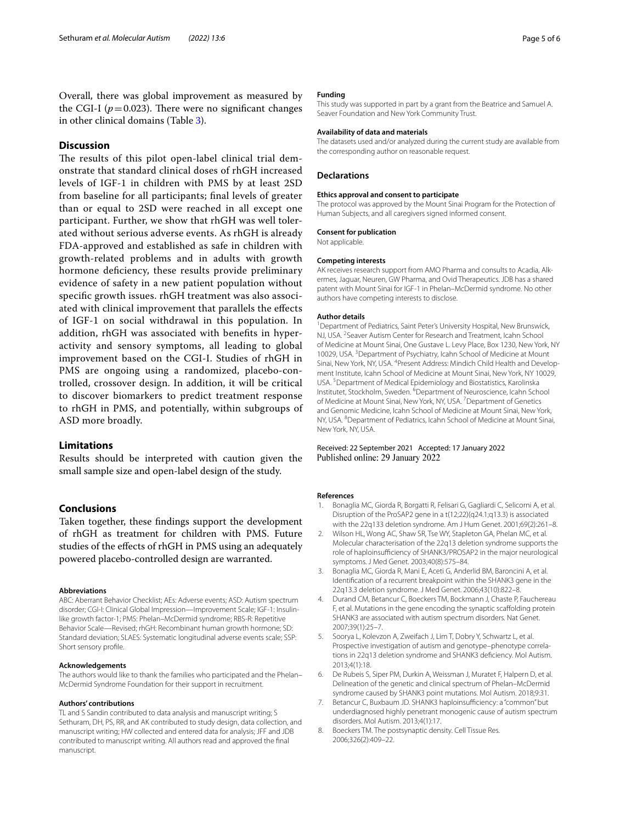Overall, there was global improvement as measured by the CGI-I ( $p = 0.023$ ). There were no significant changes in other clinical domains (Table [3\)](#page-3-0).

## **Discussion**

The results of this pilot open-label clinical trial demonstrate that standard clinical doses of rhGH increased levels of IGF-1 in children with PMS by at least 2SD from baseline for all participants; fnal levels of greater than or equal to 2SD were reached in all except one participant. Further, we show that rhGH was well tolerated without serious adverse events. As rhGH is already FDA-approved and established as safe in children with growth-related problems and in adults with growth hormone deficiency, these results provide preliminary evidence of safety in a new patient population without specifc growth issues. rhGH treatment was also associated with clinical improvement that parallels the efects of IGF-1 on social withdrawal in this population. In addition, rhGH was associated with benefts in hyperactivity and sensory symptoms, all leading to global improvement based on the CGI-I. Studies of rhGH in PMS are ongoing using a randomized, placebo-controlled, crossover design. In addition, it will be critical to discover biomarkers to predict treatment response to rhGH in PMS, and potentially, within subgroups of ASD more broadly.

## **Limitations**

Results should be interpreted with caution given the small sample size and open-label design of the study.

## **Conclusions**

Taken together, these fndings support the development of rhGH as treatment for children with PMS. Future studies of the efects of rhGH in PMS using an adequately powered placebo-controlled design are warranted.

#### **Abbreviations**

ABC: Aberrant Behavior Checklist; AEs: Adverse events; ASD: Autism spectrum disorder; CGI-I: Clinical Global Impression—Improvement Scale; IGF-1: Insulinlike growth factor-1; PMS: Phelan–McDermid syndrome; RBS-R: Repetitive Behavior Scale—Revised; rhGH: Recombinant human growth hormone; SD: Standard deviation; SLAES: Systematic longitudinal adverse events scale; SSP: Short sensory profle.

#### **Acknowledgements**

The authors would like to thank the families who participated and the Phelan– McDermid Syndrome Foundation for their support in recruitment.

## **Authors' contributions**

TL and S Sandin contributed to data analysis and manuscript writing; S Sethuram, DH, PS, RR, and AK contributed to study design, data collection, and manuscript writing; HW collected and entered data for analysis; JFF and JDB contributed to manuscript writing. All authors read and approved the fnal manuscript.

#### **Funding**

This study was supported in part by a grant from the Beatrice and Samuel A. Seaver Foundation and New York Community Trust.

#### **Availability of data and materials**

The datasets used and/or analyzed during the current study are available from the corresponding author on reasonable request.

#### **Declarations**

#### **Ethics approval and consent to participate**

The protocol was approved by the Mount Sinai Program for the Protection of Human Subjects, and all caregivers signed informed consent.

#### **Consent for publication**

Not applicable.

#### **Competing interests**

AK receives research support from AMO Pharma and consults to Acadia. Alkermes, Jaguar, Neuren, GW Pharma, and Ovid Therapeutics. JDB has a shared patent with Mount Sinai for IGF-1 in Phelan–McDermid syndrome. No other authors have competing interests to disclose.

#### **Author details**

<sup>1</sup> Department of Pediatrics, Saint Peter's University Hospital, New Brunswick, NJ, USA. <sup>2</sup> Seaver Autism Center for Research and Treatment, Icahn School of Medicine at Mount Sinai, One Gustave L. Levy Place, Box 1230, New York, NY 10029, USA. <sup>3</sup> Department of Psychiatry, Icahn School of Medicine at Mount Sinai, New York, NY, USA. <sup>4</sup> Present Address: Mindich Child Health and Development Institute, Icahn School of Medicine at Mount Sinai, New York, NY 10029, USA.<sup>5</sup> Department of Medical Epidemiology and Biostatistics, Karolinska Institutet, Stockholm, Sweden. <sup>6</sup>Department of Neuroscience, Icahn School of Medicine at Mount Sinai, New York, NY, USA.<sup>7</sup> Department of Genetics and Genomic Medicine, Icahn School of Medicine at Mount Sinai, New York, NY, USA. <sup>8</sup> Department of Pediatrics, Icahn School of Medicine at Mount Sinai, New York, NY, USA.

Received: 22 September 2021 Accepted: 17 January 2022 Published online: 29 January 2022

#### **References**

- <span id="page-4-0"></span>1. Bonaglia MC, Giorda R, Borgatti R, Felisari G, Gagliardi C, Selicorni A, et al. Disruption of the ProSAP2 gene in a t(12;22)(q24.1;q13.3) is associated with the 22q133 deletion syndrome. Am J Hum Genet. 2001;69(2):261–8.
- 2. Wilson HL, Wong AC, Shaw SR, Tse WY, Stapleton GA, Phelan MC, et al. Molecular characterisation of the 22q13 deletion syndrome supports the role of haploinsufficiency of SHANK3/PROSAP2 in the major neurological symptoms. J Med Genet. 2003;40(8):575–84.
- 3. Bonaglia MC, Giorda R, Mani E, Aceti G, Anderlid BM, Baroncini A, et al. Identifcation of a recurrent breakpoint within the SHANK3 gene in the 22q13.3 deletion syndrome. J Med Genet. 2006;43(10):822–8.
- <span id="page-4-1"></span>4. Durand CM, Betancur C, Boeckers TM, Bockmann J, Chaste P, Fauchereau F, et al. Mutations in the gene encoding the synaptic scaffolding protein SHANK3 are associated with autism spectrum disorders. Nat Genet. 2007;39(1):25–7.
- <span id="page-4-2"></span>5. Soorya L, Kolevzon A, Zweifach J, Lim T, Dobry Y, Schwartz L, et al. Prospective investigation of autism and genotype-phenotype correlations in 22q13 deletion syndrome and SHANK3 defciency. Mol Autism. 2013;4(1):18.
- <span id="page-4-3"></span>6. De Rubeis S, Siper PM, Durkin A, Weissman J, Muratet F, Halpern D, et al. Delineation of the genetic and clinical spectrum of Phelan–McDermid syndrome caused by SHANK3 point mutations. Mol Autism. 2018;9:31.
- <span id="page-4-4"></span>Betancur C, Buxbaum JD. SHANK3 haploinsufficiency: a "common" but underdiagnosed highly penetrant monogenic cause of autism spectrum disorders. Mol Autism. 2013;4(1):17.
- <span id="page-4-5"></span>8. Boeckers TM. The postsynaptic density. Cell Tissue Res. 2006;326(2):409–22.